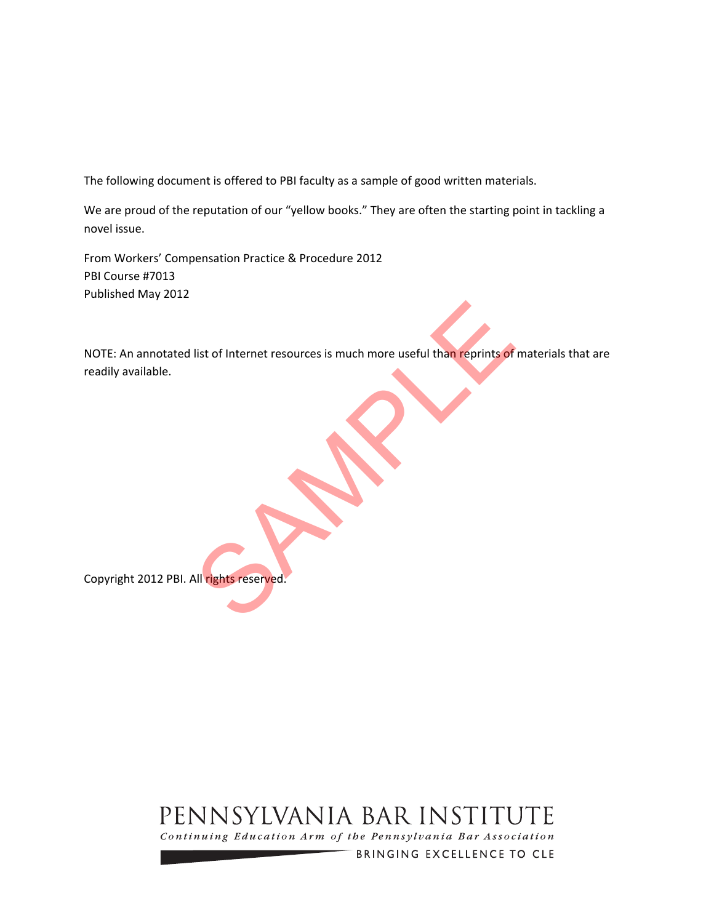The following document is offered to PBI faculty as a sample of good written materials.

We are proud of the reputation of our "yellow books." They are often the starting point in tackling a novel issue.

From Workers' Compensation Practice & Procedure 2012 PBI Course #7013 Published May 2012

NOTE: An annotated list of Internet resources is much more useful than reprints of materials that are readily available. list of Internet resources is much more useful than reprints of

Copyright 2012 PBI. All rights reserved.

# PENNSYLVANIA BAR INSTITUTE

Continuing Education Arm of the Pennsylvania Bar Association

BRINGING EXCELLENCE TO CLE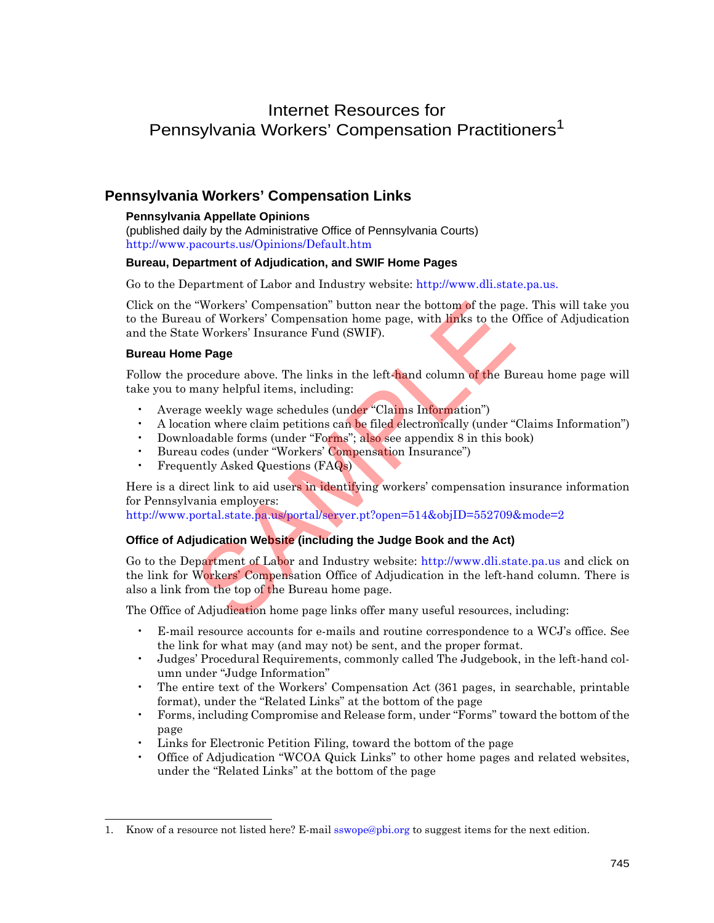# Internet Resources for Pennsylvania Workers' Compensation Practitioners<sup>1</sup>

# **Pennsylvania Workers' Compensation Links**

### **Pennsylvania Appellate Opinions**

(published daily by the Administrative Office of Pennsylvania Courts) <http://www.pacourts.us/Opinions/Default.htm>

### **Bureau, Department of Adjudication, and SWIF Home Pages**

Go to the Department of Labor and Industry website: [http://www.dli.state.pa.us.](http://www.dli.state.pa.us)

Click on the "Workers' Compensation" button near the bottom of the page. This will take you to the Bureau of Workers' Compensation home page, with links to the Office of Adjudication and the State Workers' Insurance Fund (SWIF).

### **Bureau Home Page**

Follow the procedure above. The links in the left-hand column of the Bureau home page will take you to many helpful items, including:

- Average weekly wage schedules (under "Claims Information")
- A location where claim petitions can be filed electronically (under "Claims Information")
- Downloadable forms (under "Forms"; also see appendix 8 in this book)
- Bureau codes (under "Workers' Compensation Insurance")
- Frequently Asked Questions (FAQs)

Here is a direct link to aid users in identifying workers' compensation insurance information for Pennsylvania employers:

<http://www.portal.state.pa.us/portal/server.pt?open=514&objID=552709&mode=2>

### **Office of Adjudication Website (including the Judge Book and the Act)**

Go to the Department of Labor and Industry website: [http://www.dli.state.pa.us a](http://www.dli.state.pa.us)nd click on the link for Workers' Compensation Office of Adjudication in the left-hand column. There is also a link from the top of the Bureau home page. "Workers' Compensation" button near the bottom of the page<br>
us of Workers' Compensation home page, with links to the C<br>
e Workers' Insurance Fund (SWIF).<br> **le Page**<br>
rocedure above. The links in the left-hand column of the

The Office of Adjudication home page links offer many useful resources, including:

- E-mail resource accounts for e-mails and routine correspondence to a WCJ's office. See the link for what may (and may not) be sent, and the proper format.
- Judges' Procedural Requirements, commonly called The Judgebook, in the left-hand column under "Judge Information"
- The entire text of the Workers' Compensation Act (361 pages, in searchable, printable format), under the "Related Links" at the bottom of the page
- Forms, including Compromise and Release form, under "Forms" toward the bottom of the page
- Links for Electronic Petition Filing, toward the bottom of the page
- Office of Adjudication "WCOA Quick Links" to other home pages and related websites, under the "Related Links" at the bottom of the page

<sup>1.</sup> Know of a resource not listed here? E-mail sswope@pbi.org to suggest items for the next edition.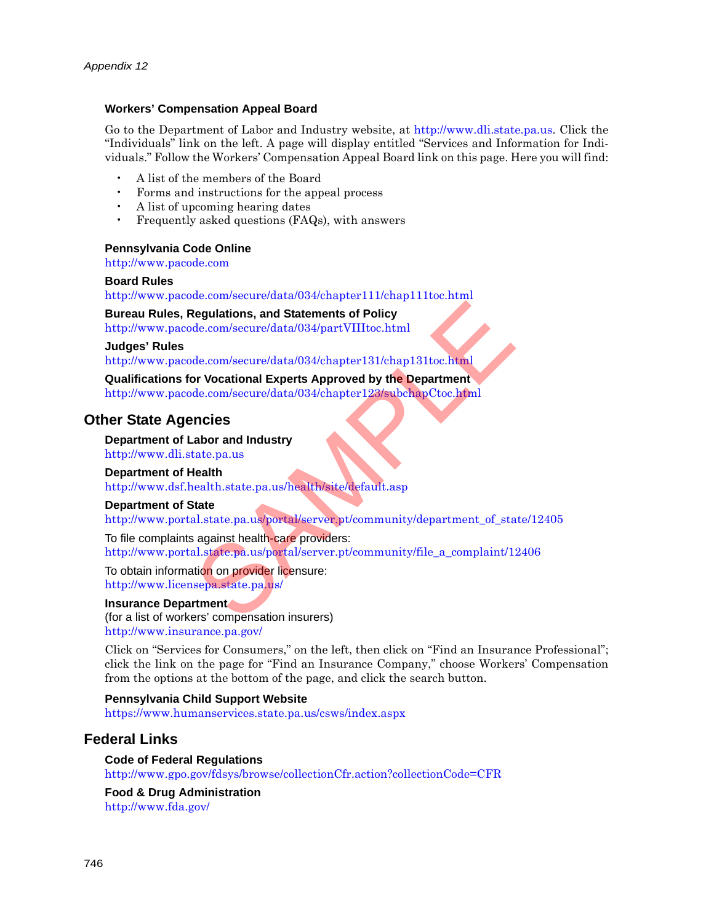### **Workers' Compensation Appeal Board**

Go to the Department of Labor and Industry website, at [http://www.dli.state.pa.us.](http://www.dli.state.pa.us) Click the "Individuals" link on the left. A page will display entitled "Services and Information for Individuals." Follow the Workers' Compensation Appeal Board link on this page. Here you will find:

- A list of the members of the Board
- Forms and instructions for the appeal process
- A list of upcoming hearing dates
- Frequently asked questions (FAQs), with answers

### **Pennsylvania Code Online**

<http://www.pacode.com>

### **Board Rules**

<http://www.pacode.com/secure/data/034/chapter111/chap111toc.html>

### **Bureau Rules, Regulations, and Statements of Policy**

http://www.pacode.com/secure/data/034/partVIIItoc.html

### **Judges' Rules**

http://www.pacode.com/secure/data/034/chapter131/chap131toc.html

### **Qualifications for Vocational Experts Approved by the Department**

http://www.pacode.com/secure/data/034/chapter123/subchapCtoc.html

### **Other State Agencies**

### **Department of Labor and Industry**

http://www.dli.state.pa.us

### **Department of Health**

http://www.dsf.health.state.pa.us/health/site/default.asp

### **Department of State**

[http://www.portal.state.pa.us/portal/server.pt/community/department\\_of\\_state/12405](http://www.portal.state.pa.us/portal/server.pt/community/department_of_state/12405)

To file complaints against health-care providers: [http://www.portal.state.pa.us/portal/server.pt/community/file\\_a\\_complaint/12406](http://www.portal.state.pa.us/portal/server.pt/community/file_a_complaint/12406) Regulations, and [S](http://www.licensepa.state.pa.us/)tatements of Policy<br>
de.com/secure/data/034/partVIIItoc.html<br>
de.com/secure/data/034/chapter131/chap131toc.html<br>
de.com/secure/data/034/chapter131/chap131toc.html<br>
and Com/secure/data/034/chapter123/subch

#### To obtain information on provider licensure: http://www.licensepa.state.pa.us/

### **Insurance Department**

(for a list of workers' compensation insurers) <http://www.insurance.pa.gov/>

Click on "Services for Consumers," on the left, then click on "Find an Insurance Professional"; click the link on the page for "Find an Insurance Company," choose Workers' Compensation from the options at the bottom of the page, and click the search button.

### **Pennsylvania Child Support Website**

<https://www.humanservices.state.pa.us/csws/index.aspx>

# **Federal Links**

### **Code of Federal Regulations** <http://www.gpo.gov/fdsys/browse/collectionCfr.action?collectionCode=CFR>

**Food & Drug Administration** <http://www.fda.gov/>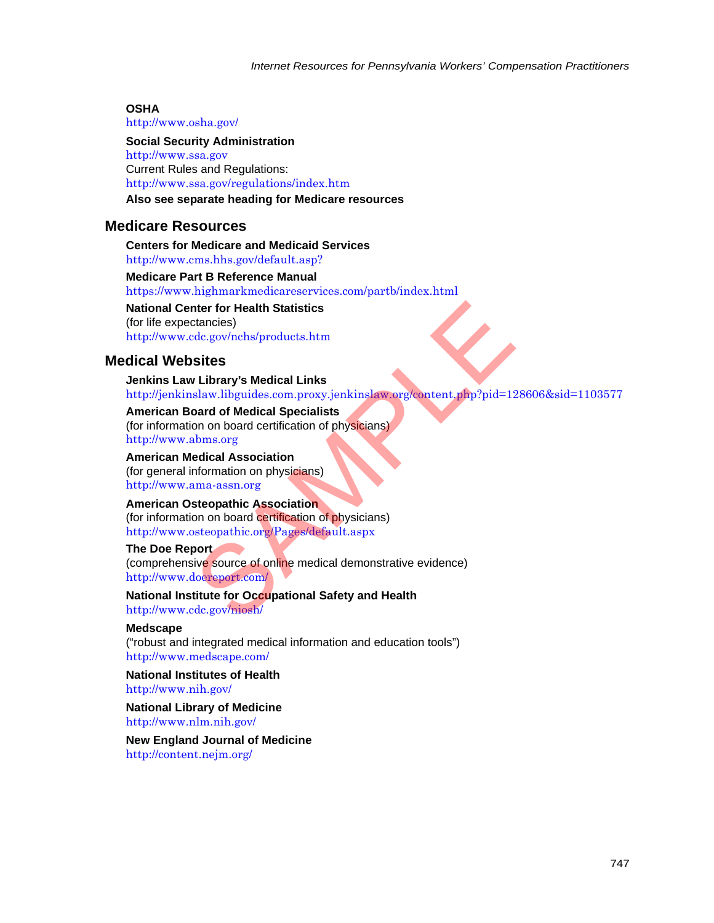### **OSHA**

<http://www.osha.gov/>

**Social Security Administration** <http://www.ssa.gov> Current Rules and Regulations: <http://www.ssa.gov/regulations/index.htm>

# **Also see separate heading for Medicare resources**

# **Medicare Resources**

**Centers for Medicare and Medicaid Services** <http://www.cms.hhs.gov/default.asp?>

**Medicare Part B Reference Manual** <https://www.highmarkmedicareservices.com/partb/index.html>

**National Center for Health Statistics** (for life expectancies) http://www.cdc.gov/nchs/products.htm

# **Medical Websites**

**Jenkins Law Library's Medical Links** <http://jenkinslaw.libguides.com.proxy.jenkinslaw.org/content.php?pid=128606&sid=1103577> nter for Health [S](http://www.doereport.com/)tatistics<br>
stancies)<br>
dc.gov/nchs/products.htm<br>
sites<br>
r Library's Medical Links<br>
slaw.libguides.com.proxy.jenkinslaw.org/content.php?pid=12<br>
pard of Medical Specialists<br>
on on board certification of physi

### **American Board of Medical Specialists**

(for information on board certification of physicians) http://www.abms.org

### **American Medical Association**

(for general information on physicians) http://www.ama-assn.org

### **American Osteopathic Association**

(for information on board certification of physicians) http://www.osteopathic.org/Pages/default.aspx

### **The Doe Report**

(comprehensive source of online medical demonstrative evidence) http://www.doereport.com/

**National Institute for Occupational Safety and Health** http://www.cdc.gov/niosh/

### **Medscape**

("robust and integrated medical information and education tools") <http://www.medscape.com/>

**National Institutes of Health** <http://www.nih.gov/>

**National Library of Medicine** <http://www.nlm.nih.gov/>

**New England Journal of Medicine** <http://content.nejm.org/>